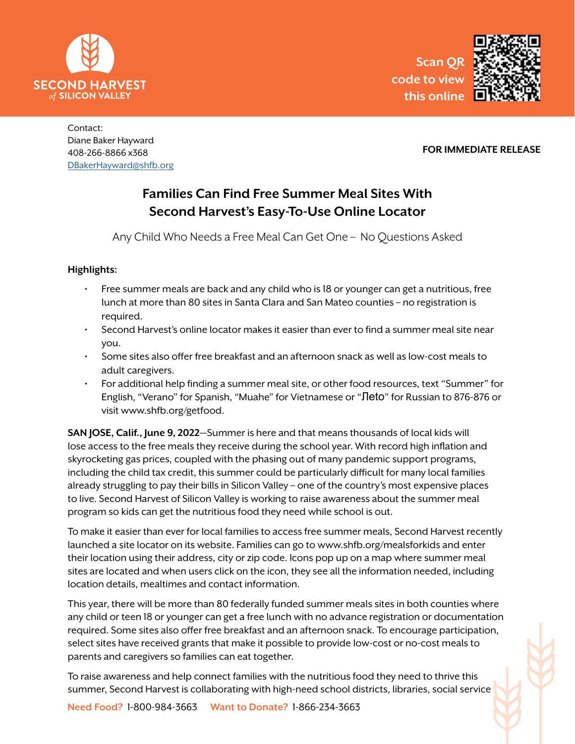



Contact: Diane Baker Hayward 408-266-8866 x368 DBakerHayward@shfb.org

## **FOR IMMEDIATE RELEASE**

# **Families Can Find Free Summer Meal Sites With Second Harvest's Easy-To-Use Online Locator**

Any Child Who Needs a Free Meal Can Get One – No Questions Asked

# **Highlights:**

- Free summer meals are back and any child who is 18 or younger can get a nutritious, free lunch at more than 80 sites in Santa Clara and San Mateo counties – no registration is required.
- Second Harvest's online locator makes it easier than ever to find a summer meal site near you.
- Some sites also offer free breakfast and an afternoon snack as well as low-cost meals to adult caregivers.
- For additional help finding a summer meal site, or other food resources, text "Summer" for English, "Verano" for Spanish, "Muahe" for Vietnamese or "Лeto" for Russian to 876-876 or visit www.shfb.org/getfood.

**SAN JOSE, Calif., June 9, 2022**—Summer is here and that means thousands of local kids will lose access to the free meals they receive during the school year. With record high inflation and skyrocketing gas prices, coupled with the phasing out of many pandemic support programs, including the child tax credit, this summer could be particularly difficult for many local families already struggling to pay their bills in Silicon Valley – one of the country's most expensive places to live. Second Harvest of Silicon Valley is working to raise awareness about the summer meal program so kids can get the nutritious food they need while school is out.

To make it easier than ever for local families to access free summer meals, Second Harvest recently launched a site locator on its website. Families can go to www.shfb.org/mealsforkids and enter their location using their address, city or zip code. Icons pop up on a map where summer meal sites are located and when users click on the icon, they see all the information needed, including location details, mealtimes and contact information.

This year, there will be more than 80 federally funded summer meals sites in both counties where any child or teen 18 or younger can get a free lunch with no advance registration or documentation required. Some sites also offer free breakfast and an afternoon snack. To encourage participation, select sites have received grants that make it possible to provide low-cost or no-cost meals to parents and caregivers so families can eat together.

To raise awareness and help connect families with the nutritious food they need to thrive this summer, Second Harvest is collaborating with high-need school districts, libraries, social service